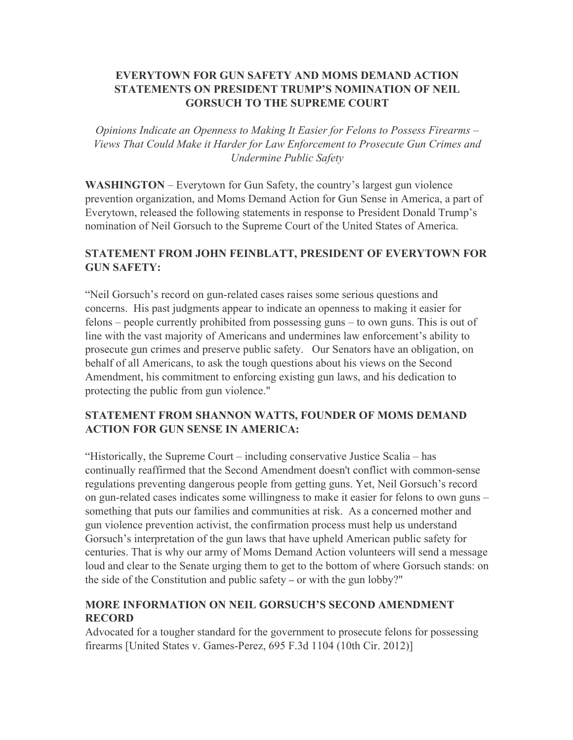# **EVERYTOWN FOR GUN SAFETY AND MOMS DEMAND ACTION STATEMENTS ON PRESIDENT TRUMP'S NOMINATION OF NEIL GORSUCH TO THE SUPREME COURT**

*Opinions Indicate an Openness to Making It Easier for Felons to Possess Firearms – Views That Could Make it Harder for Law Enforcement to Prosecute Gun Crimes and Undermine Public Safety*

**WASHINGTON** – Everytown for Gun Safety, the country's largest gun violence prevention organization, and Moms Demand Action for Gun Sense in America, a part of Everytown, released the following statements in response to President Donald Trump's nomination of Neil Gorsuch to the Supreme Court of the United States of America.

### **STATEMENT FROM JOHN FEINBLATT, PRESIDENT OF EVERYTOWN FOR GUN SAFETY:**

"Neil Gorsuch's record on gun-related cases raises some serious questions and concerns. His past judgments appear to indicate an openness to making it easier for felons – people currently prohibited from possessing guns – to own guns. This is out of line with the vast majority of Americans and undermines law enforcement's ability to prosecute gun crimes and preserve public safety. Our Senators have an obligation, on behalf of all Americans, to ask the tough questions about his views on the Second Amendment, his commitment to enforcing existing gun laws, and his dedication to protecting the public from gun violence."

# **STATEMENT FROM SHANNON WATTS, FOUNDER OF MOMS DEMAND ACTION FOR GUN SENSE IN AMERICA:**

"Historically, the Supreme Court – including conservative Justice Scalia – has continually reaffirmed that the Second Amendment doesn't conflict with common-sense regulations preventing dangerous people from getting guns. Yet, Neil Gorsuch's record on gun-related cases indicates some willingness to make it easier for felons to own guns – something that puts our families and communities at risk. As a concerned mother and gun violence prevention activist, the confirmation process must help us understand Gorsuch's interpretation of the gun laws that have upheld American public safety for centuries. That is why our army of Moms Demand Action volunteers will send a message loud and clear to the Senate urging them to get to the bottom of where Gorsuch stands: on the side of the Constitution and public safety – or with the gun lobby?"

# **MORE INFORMATION ON NEIL GORSUCH'S SECOND AMENDMENT RECORD**

Advocated for a tougher standard for the government to prosecute felons for possessing firearms [United States v. Games-Perez, 695 F.3d 1104 (10th Cir. 2012)]